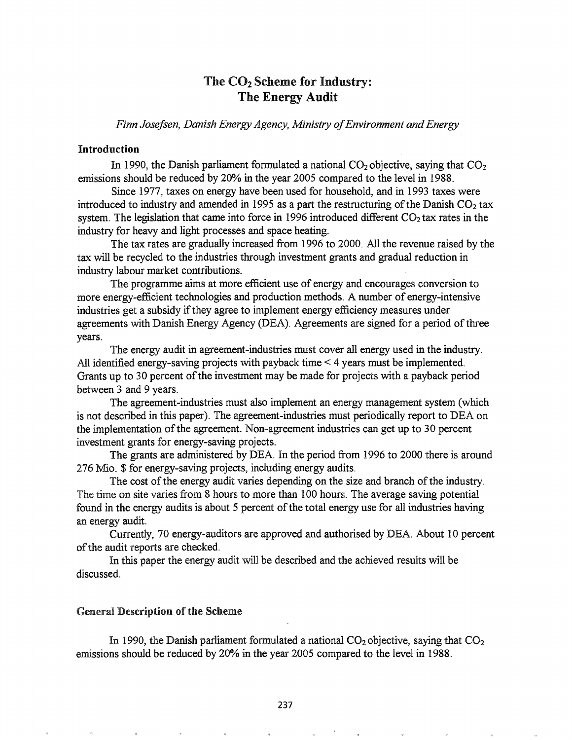# The  $CO<sub>2</sub>$  Scheme for Industry: The Energy Audit

*Finn Josefsen, Danish Energy Agency, Ministry ofEnvironment andEnergy*

# Introduction

In 1990, the Danish parliament formulated a national  $CO<sub>2</sub>$  objective, saying that  $CO<sub>2</sub>$ emissions should be reduced by 20% in the year 2005 compared to the level in 1988.

Since 1977, taxes on energy have been used for household, and in 1993 taxes were introduced to industry and amended in 1995 as a part the restructuring of the Danish  $CO<sub>2</sub>$  tax system. The legislation that came into force in 1996 introduced different  $CO<sub>2</sub>$  tax rates in the industry for heavy and light processes and space heating.

The tax rates are gradually increased from 1996 to 2000. All the revenue raised by the tax will be recycled to the industries through investment grants and gradual reduction in industry labour market contributions.

The programme aims at more efficient use of energy and encourages conversion to more energy-efficient technologies and production methods. A number of energy-intensive industries get a subsidy if they agree to implement energy efficiency measures under agreements with Danish Energy Agency (DEA). Agreements are signed for a period of three years.

The energy audit in agreement-industries must cover all energy used in the industry. All identified energy-saving projects with payback time  $\leq 4$  years must be implemented. Grants up to 30 percent of the investment may be made for projects with a payback period between 3 and 9 years.

The agreement-industries must also implement an energy management system (which is not described in this paper). The agreement-industries must periodically report to DEA on the implementation of the agreement. Non-agreement industries can get up to 30 percent investment grants for energy-saving projects.

The grants are administered by DEA. In the period from 1996 to 2000 there is around 276 Mio. \$ for energy-saving projects, including energy audits.

The cost of the energy audit varies depending on the size and branch of the industry. The time on site varies from 8 hours to more than 100 hours. The average saving potential found in the energy audits is about 5 percent of the total energy use for all industries having an energy audit.

Currently, 70 energy-auditors are approved and authorised by DEA. About 10 percent of the audit reports are checked.

In this paper the energy audit will be described and the achieved results will be discussed.

# General Description of the Scheme

In 1990, the Danish parliament formulated a national  $CO<sub>2</sub>$  objective, saying that  $CO<sub>2</sub>$ emissions should be reduced by 20% in the year 2005 compared to the level in 1988.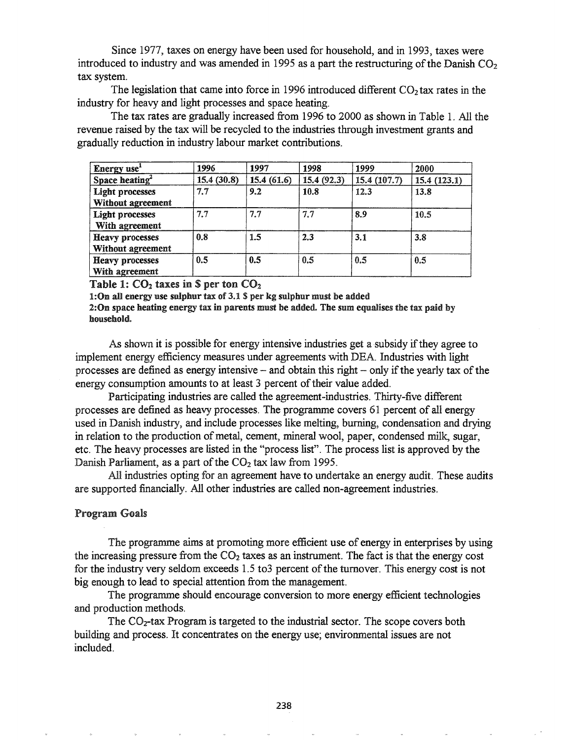Since 1977, taxes on energy have been used for household, and in 1993, taxes were introduced to industry and was amended in 1995 as a part the restructuring of the Danish  $CO<sub>2</sub>$ tax system.

The legislation that came into force in 1996 introduced different  $CO<sub>2</sub>$  tax rates in the industry for heavy and light processes and space heating.

The tax rates are gradually increased from 1996 to 2000 as shown in Table 1. All the revenue raised by the tax will be recycled to the industries through investment grants and gradually reduction in industry labour market contributions.

| Energy use <sup>1</sup>                            | 1996        | 1997       | 1998       | 1999        | 2000        |
|----------------------------------------------------|-------------|------------|------------|-------------|-------------|
| Space heating <sup>2</sup>                         | 15.4 (30.8) | 15.4(61.6) | 15.4(92.3) | 15.4(107.7) | 15.4(123.1) |
| <b>Light processes</b><br><b>Without agreement</b> | 7.7         | 9.2        | 10.8       | 12.3        | 13.8        |
| <b>Light processes</b><br>With agreement           | 7.7         | 7.7        | 7,7        | 8.9         | 10.5        |
| <b>Heavy processes</b><br>Without agreement        | 0.8         | 1.5        | 2.3        | 3.1         | 3.8         |
| <b>Heavy processes</b><br>With agreement           | 0.5         | 0.5        | 0.5        | 0.5         | 0.5         |

Table 1:  $CO<sub>2</sub>$  taxes in S per ton  $CO<sub>2</sub>$ 

1: On all energy use sulphur tax of 3.1 \$ per kg sulphur must be added

2:0n space heating energy tax in parents must be added. The sum equalises the tax paid by household.

As shown it is possible for energy intensive industries get a subsidy if they agree to implement energy efficiency measures under agreements with DEA. Industries with light processes are defined as energy intensive  $-$  and obtain this right  $-$  only if the yearly tax of the energy consumption amounts to at least 3 percent of their value added.

Participating industries are called the agreement-industries. Thirty-five different processes are defined as heavy processes. The programme covers 61 percent of all energy used in Danish industry, and include processes like melting, burning, condensation and drying in relation to the production of metal, cement, mineral wool, paper, condensed milk, sugar, etc. The heavy processes are listed in the "process list". The process list is approved by the Danish Parliament, as a part of the  $CO<sub>2</sub>$  tax law from 1995.

All industries opting for an agreement have to undertake an energy audit. These audits are supported financially. All other industries are called non-agreement industries.

#### Program Goals

The programme aims at promoting more efficient use of energy in enterprises by using the increasing pressure from the  $CO<sub>2</sub>$  taxes as an instrument. The fact is that the energy cost for the industry very seldom exceeds  $1.5$  to 3 percent of the turnover. This energy cost is not big enough to lead to special attention from the management.

The programme should encourage conversion to more energy efficient technologies and production methods.

The  $CO<sub>2</sub>$ -tax Program is targeted to the industrial sector. The scope covers both building and process. It concentrates on the energy use; environmental issues are not included.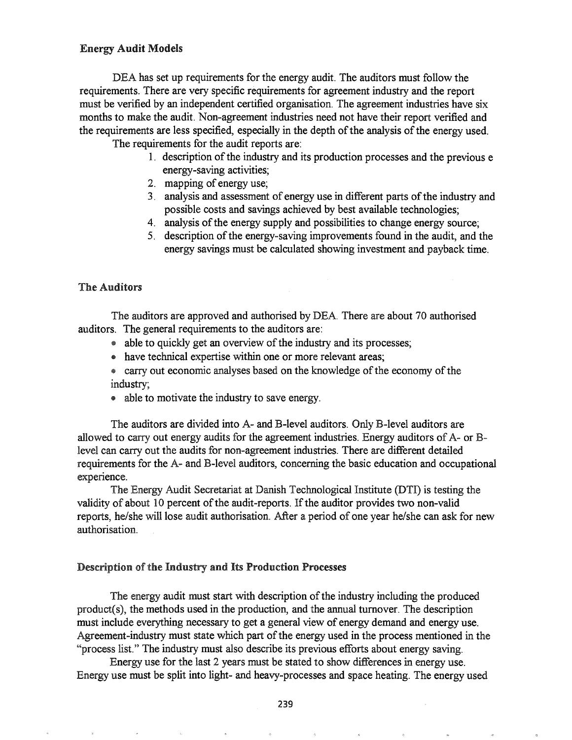# Energy Audit Models

DEA has set up requirements for the energy audit. The auditors must follow the requirements. There are very specific requirements for agreement industry and the report must be verified by an independent certified organisation. The agreement industries have six months to make the audit. Non-agreement industries need not have their report verified and the requirements are less specified, especially in the depth of the analysis of the energy used.

The requirements for the audit reports are:

- 1. description of the industry and its production processes and the previous e energy-saving activities;
- 2. mapping of energy use;
- 3. analysis and assessment of energy use in different parts of the industry and possible costs and savings achieved by best available technologies;
- 4. analysis of the energy supply and possibilities to change energy source;
- 5. description of the energy-saving improvements found in the audit, and the energy savings must be calculated showing investment and payback time.

### The Auditors

The auditors are approved and authorised by DEA. There are about 70 authorised auditors. The general requirements to the auditors are:

- able to quickly get an overview of the industry and its processes;
- e have technical expertise within one or more relevant areas;
- carry out economic analyses based on the knowledge of the economy of the industry;
- able to motivate the industry to save energy.

The auditors are divided into A- and B-level auditors. Only B-Ievel auditors are allowed to carry out energy audits for the agreement industries. Energy auditors of A- or Blevel can carry out the audits for non-agreement industries. There are different detailed requirements for the A- and B-level auditors, concerning the basic education and occupational experience.

The Energy Audit Secretariat at Danish Technological Institute (DTI) is testing the validity of about 10 percent of the audit-reports. If the auditor provides two non-valid reports, he/she will lose audit authorisation. After a period of one year he/she can ask for new authorisation.

### Description of the Industry and Its Production Processes

The energy audit must start with description of the industry including the produced product(s), the methods used in the production, and the annual turnover. The description must include everything necessary to get a general view of energy demand and energy use. Agreement-industry must state which part of the energy used in the process mentioned in the "process list." The industry must also describe its previous efforts about energy saving.

Energy use for the last 2 years must be stated to show differences in energy use. Energy use must be split into light- and heavy-processes and space heating. The energy used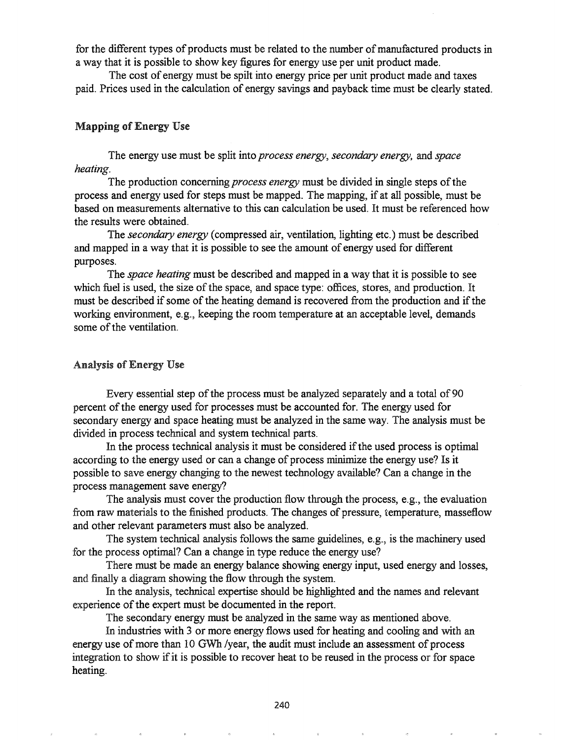for the different types of products must be related to the number of manufactured products in a way that it is possible to show key figures for energy use per unit product made.

The cost of energy must be spilt into energy price per unit product made and taxes paid. Prices used in the calculation of energy savings and payback time must be clearly stated.

#### Mapping of Energy Use

The energy use must be split into *process energy, secondary energy,* and *space heating.*

The production concerning *process energy* must be divided in single steps of the process and energy used for steps must be mapped. The mapping, if at all possible, must be based on measurements alternative to this can calculation be used. It must be referenced how the results were obtained.

The *secondary energy* (compressed air, ventilation, lighting etc.) must be described and mapped in a way that it is possible to see the amount of energy used for different purposes.

The *space heating* must be described and mapped in a way that it is possible to see which fuel is used, the size of the space, and space type: offices, stores, and production. It must be described if some of the heating demand is recovered from the production and if the working environment, e.g., keeping the room temperature at an acceptable level, demands some of the ventilation.

#### Analysis of Energy Use

Every essential step of the process must be analyzed separately and a total of 90 percent ofthe energy used for processes must be accounted for. The energy used for secondary energy and space heating must be analyzed in the same way. The analysis must be divided in process technical and system technical parts.

In the process technical analysis it must be considered if the used process is optimal according to the energy used or can a change of process minimize the energy use? Is it possible to save energy changing to the newest technology available? Can a change in the process management save energy?

The analysis must cover the production flow through the process, e.g., the evaluation from raw materials to the finished products. The changes of pressure, temperature, masseflow and other relevant parameters must also be analyzed.

The system technical analysis follows the same guidelines, e.g., is the machinery used for the process optimal? Can a change in type reduce the energy use?

There must be made an energy balance showing energy input, used energy and losses, and finally a diagram showing the flow through the system.

In the analysis, technical expertise should be highlighted and the names and relevant experience of the expert must be documented in the report.

The secondary energy must be analyzed in the same way as mentioned above.

In industries with 3 or more energy flows used for heating and cooling and with an energy use of more than 10 GWh /year, the audit must include an assessment of process integration to show if it is possible to recover heat to be reused in the process or for space heating.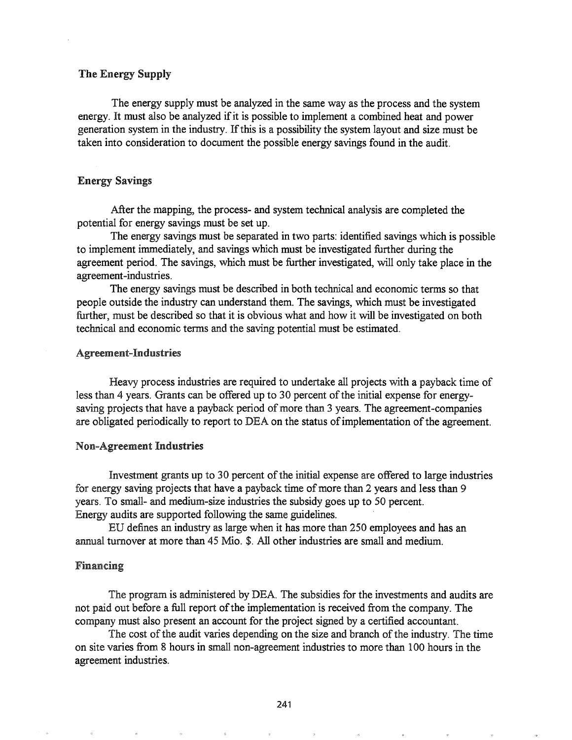#### The Energy Supply

The energy supply must be analyzed in the same way as the process and the system energy. It must also be analyzed if it is possible to implement a combined heat and power generation system in the industry. Ifthis is a possibility the system layout and size must be taken into consideration to document the possible energy savings found in the audit.

#### Energy Savings

After the mapping, the process- and system technical analysis are completed the potential for energy savings must be set up.

The energy savings must be separated in two parts: identified savings which is possible to implement immediately, and savings which must be investigated further during the agreement period. The savings, which must be further investigated, will only take place in the agreement-industries.

The energy savings must be described in both technical and economic terms so that people outside the industry can understand them. The savings, which must be investigated further, must be described so that it is obvious what and how it will be investigated on both technical and economic terms and the saving potential must be estimated.

#### Agreement-Industries

Heavy process industries are required to undertake all projects with a payback time of less than 4 years. Grants can be offered up to 30 percent of the initial expense for energysaving projects that have a payback period of more than 3 years. The agreement-companies are obligated periodically to report to DEA on the status of implementation of the agreement.

#### Non-Agreement Industries

Investment grants up to 30 percent of the initial expense are offered to large industries for energy saving projects that have a payback time of more than 2 years and less than 9 years. To small- and medium-size industries the subsidy goes up to 50 percent. Energy audits are supported following the same guidelines.

ED defines an industry as large when it has more than 250 employees and has an annual turnover at more than 45 Mio. \$. All other industries are small and medium.

# Financing

The program is administered by DEA. The subsidies for the investments and audits are not paid out before a full report of the implementation is received from the company. The company must also present an account for the project signed by a certified accountant.

The cost of the audit varies depending on the size and branch of the industry. The time on site varies from 8 hours in small non-agreement industries to more than 100 hours in the agreement industries.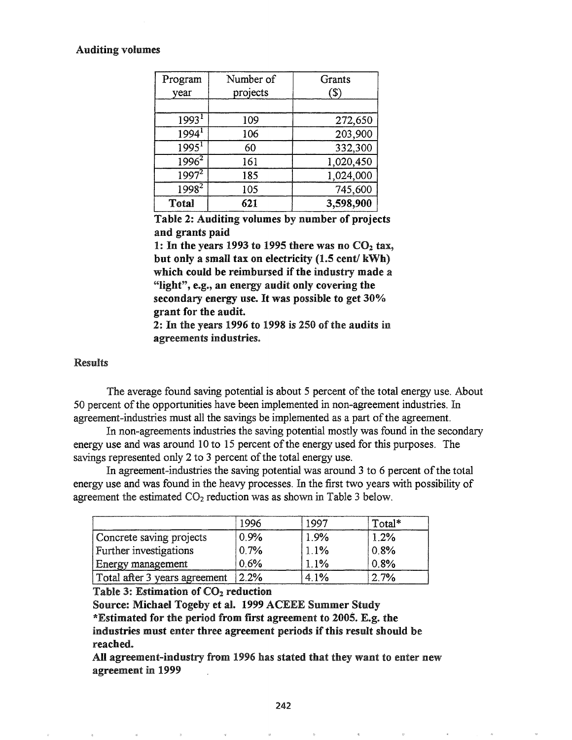#### Auditing volumes

| Program           | Number of | Grants    |  |
|-------------------|-----------|-----------|--|
| year              | projects  | (\$)      |  |
|                   |           |           |  |
| 1993 <sup>1</sup> | 109       | 272,650   |  |
| $1994^1$          | 106       | 203,900   |  |
| 1995 <sup>1</sup> | 60        | 332,300   |  |
| $1996^2$          | 161       | 1,020,450 |  |
| $1997^2$          | 185       | 1,024,000 |  |
| $1998^{2}$        | 105       | 745,600   |  |
| Total             | 621       | 3,598,900 |  |

Table 2: Auditing volumes by number of projects and grants paid

1: In the years 1993 to 1995 there was no  $CO<sub>2</sub>$  tax, but only a small tax on electricity (1.5 cent/ kWh) which could be reimbursed if the industry made a "light", e.g., an energy audit only covering the secondary energy use. It was possible to get  $30\%$ grant for the audit.

2: In the years 1996 to 1998 is  $250$  of the audits in agreements industries.

# Results

The average found saving potential is about 5 percent of the total energy use. About 50 percent ofthe opportunities have been implemented in non-agreement industries. In agreement-industries must all the savings be implemented as a part ofthe agreement.

In non-agreements industries the saving potential mostly was found in the secondary energy use and was around 10 to 15 percent of the energy used for this purposes. The savings represented only 2 to 3 percent of the total energy use.

In agreement-industries the saving potential was around 3 to 6 percent of the total energy use and was found in the heavy processes. In the first two years with possibility of agreement the estimated  $CO<sub>2</sub>$  reduction was as shown in Table 3 below.

|                               | 1996 | 1997 | Total* |
|-------------------------------|------|------|--------|
| Concrete saving projects      | 0.9% | 1.9% | 1.2%   |
| Further investigations        | 0.7% | 1.1% | 0.8%   |
| Energy management             | 0.6% | 1.1% | 0.8%   |
| Total after 3 years agreement | 2.2% | 4.1% | 2.7%   |

Table 3: Estimation of  $CO<sub>2</sub>$  reduction

Source: Michael Togeby et al. 1999 ACEEE Summer Study \*Estimated for the period from first agreement to 2005. E.g. the industries must enter three agreement periods if this result should be reached.

All agreement-industry from 1996 has stated that they want to enter new agreement in 1999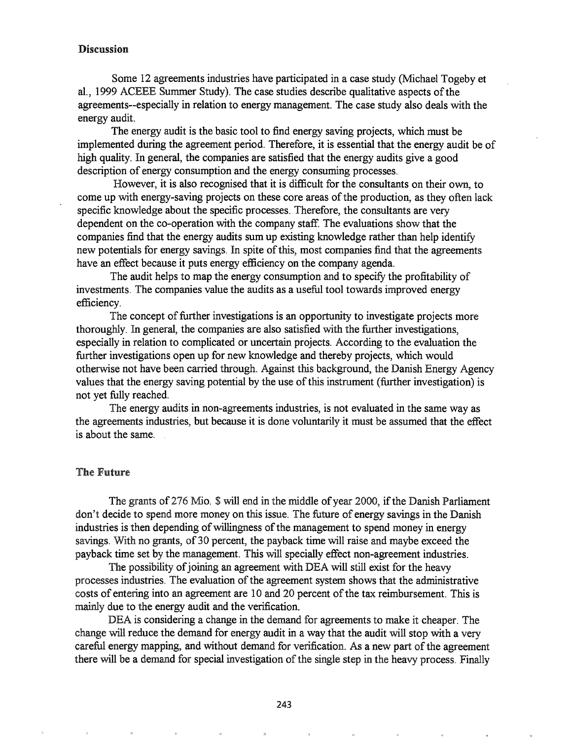#### **Discussion**

Some 12 agreements industries have participated in a case study (Michael Togeby et al., 1999 ACEEE Summer Study). The case studies describe qualitative aspects of the agreements--especially in relation to energy management. The case study also deals with the energy audit.

The energy audit is the basic tool to find energy saving projects, which must be implemented during the agreement period. Therefore, it is essential that the energy audit be of high quality. In general, the companies are satisfied that the energy audits give a good description of energy consumption and the energy consuming processes.

However, it is also recognised that it is difficult for the consultants on their own, to come up with energy-saving projects on these core areas of the production, as they often lack specific knowledge about the specific processes. Therefore, the consultants are very dependent on the co-operation with the company staff. The evaluations show that the companies find that the energy audits sum up existing knowledge rather than help identify new potentials for energy savings. In spite of this, most companies find that the agreements have an effect because it puts energy efficiency on the company agenda.

The audit helps to map the energy consumption and to specify the profitability of investments. The companies value the audits as a useful tool towards improved energy efficiency.

The concept of further investigations is an opportunity to investigate projects more thoroughly. In general, the companies are also satisfied with the further investigations, especially in relation to complicated or uncertain projects. According to the evaluation the further investigations open up for new knowledge and thereby projects, which would otherwise not have been carried through. Against this background, the Danish Energy Agency values that the energy saving potential by the use of this instrument (further investigation) is not yet fully reached.

The energy audits in non-agreements industries, is not evaluated in the same way as the agreements industries, but because it is done voluntarily it must be assumed that the effect is about the same.

# The Future

The grants of 276 Mio. \$ will end in the middle of year 2000, if the Danish Parliament don't decide to spend more money on this issue. The future of energy savings in the Danish industries is then depending of willingness of the management to spend money in energy savings. With no grants, of 30 percent, the payback time will raise and maybe exceed the payback time set by the management. This will specially effect non-agreement industries.

The possibility of joining an agreement with DEA will still exist for the heavy processes industries. The evaluation of the agreement system shows that the administrative costs of entering into an agreement are 10 and 20 percent of the tax reimbursement. This is mainly due to the energy audit and the verification.

DEA is considering a change in the demand for agreements to make it cheaper. The change will reduce the demand for energy audit in a way that the audit will stop with a very careful energy mapping, and without demand for verification. As a new part of the agreement there will be a demand for special investigation of the single step in the heavy process. Finally